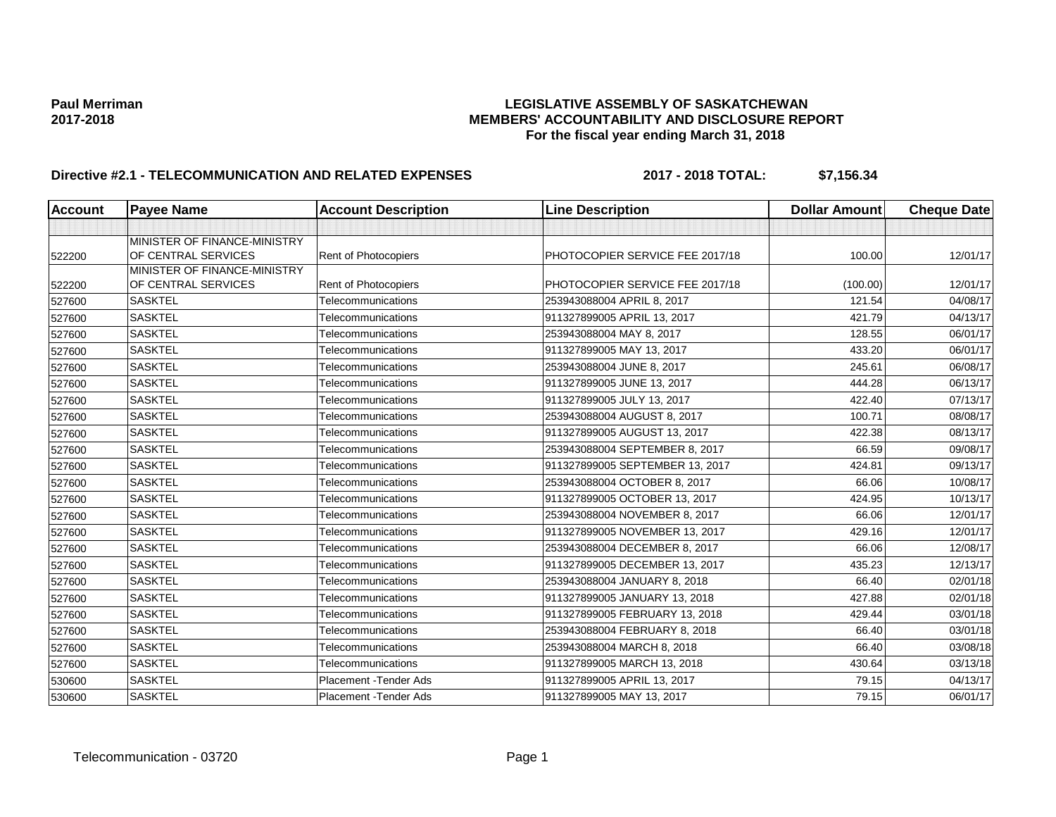## **Paul Merriman LEGISLATIVE ASSEMBLY OF SASKATCHEWAN 2017-2018 MEMBERS' ACCOUNTABILITY AND DISCLOSURE REPORT For the fiscal year ending March 31, 2018**

# **Directive #2.1 - TELECOMMUNICATION AND RELATED EXPENSES 2017 - 2018 TOTAL: \$7,156.34**

| <b>Account</b> | <b>Payee Name</b>                                   | <b>Account Description</b>  | <b>Line Description</b>         | <b>Dollar Amount</b> | <b>Cheque Date</b> |
|----------------|-----------------------------------------------------|-----------------------------|---------------------------------|----------------------|--------------------|
|                |                                                     |                             |                                 |                      |                    |
| 522200         | MINISTER OF FINANCE-MINISTRY<br>OF CENTRAL SERVICES | <b>Rent of Photocopiers</b> | PHOTOCOPIER SERVICE FEE 2017/18 | 100.00               | 12/01/17           |
|                | MINISTER OF FINANCE-MINISTRY                        |                             |                                 |                      |                    |
| 522200         | OF CENTRAL SERVICES                                 | <b>Rent of Photocopiers</b> | PHOTOCOPIER SERVICE FEE 2017/18 | (100.00)             | 12/01/17           |
| 527600         | <b>SASKTEL</b>                                      | Telecommunications          | 253943088004 APRIL 8, 2017      | 121.54               | 04/08/17           |
| 527600         | <b>SASKTEL</b>                                      | Telecommunications          | 911327899005 APRIL 13, 2017     | 421.79               | 04/13/17           |
| 527600         | <b>SASKTEL</b>                                      | Telecommunications          | 253943088004 MAY 8, 2017        | 128.55               | 06/01/17           |
| 527600         | <b>SASKTEL</b>                                      | Telecommunications          | 911327899005 MAY 13, 2017       | 433.20               | 06/01/17           |
| 527600         | <b>SASKTEL</b>                                      | Telecommunications          | 253943088004 JUNE 8, 2017       | 245.61               | 06/08/17           |
| 527600         | <b>SASKTEL</b>                                      | Telecommunications          | 911327899005 JUNE 13, 2017      | 444.28               | 06/13/17           |
| 527600         | <b>SASKTEL</b>                                      | Telecommunications          | 911327899005 JULY 13, 2017      | 422.40               | 07/13/17           |
| 527600         | <b>SASKTEL</b>                                      | Telecommunications          | 253943088004 AUGUST 8, 2017     | 100.71               | 08/08/17           |
| 527600         | <b>SASKTEL</b>                                      | Telecommunications          | 911327899005 AUGUST 13, 2017    | 422.38               | 08/13/17           |
| 527600         | <b>SASKTEL</b>                                      | Telecommunications          | 253943088004 SEPTEMBER 8, 2017  | 66.59                | 09/08/17           |
| 527600         | <b>SASKTEL</b>                                      | Telecommunications          | 911327899005 SEPTEMBER 13, 2017 | 424.81               | 09/13/17           |
| 527600         | <b>SASKTEL</b>                                      | Telecommunications          | 253943088004 OCTOBER 8, 2017    | 66.06                | 10/08/17           |
| 527600         | <b>SASKTEL</b>                                      | Telecommunications          | 911327899005 OCTOBER 13, 2017   | 424.95               | 10/13/17           |
| 527600         | <b>SASKTEL</b>                                      | Telecommunications          | 253943088004 NOVEMBER 8, 2017   | 66.06                | 12/01/17           |
| 527600         | <b>SASKTEL</b>                                      | Telecommunications          | 911327899005 NOVEMBER 13, 2017  | 429.16               | 12/01/17           |
| 527600         | <b>SASKTEL</b>                                      | Telecommunications          | 253943088004 DECEMBER 8, 2017   | 66.06                | 12/08/17           |
| 527600         | <b>SASKTEL</b>                                      | Telecommunications          | 911327899005 DECEMBER 13, 2017  | 435.23               | 12/13/17           |
| 527600         | <b>SASKTEL</b>                                      | Telecommunications          | 253943088004 JANUARY 8, 2018    | 66.40                | 02/01/18           |
| 527600         | <b>SASKTEL</b>                                      | Telecommunications          | 911327899005 JANUARY 13, 2018   | 427.88               | 02/01/18           |
| 527600         | <b>SASKTEL</b>                                      | Telecommunications          | 911327899005 FEBRUARY 13, 2018  | 429.44               | 03/01/18           |
| 527600         | <b>SASKTEL</b>                                      | Telecommunications          | 253943088004 FEBRUARY 8, 2018   | 66.40                | 03/01/18           |
| 527600         | <b>SASKTEL</b>                                      | Telecommunications          | 253943088004 MARCH 8, 2018      | 66.40                | 03/08/18           |
| 527600         | <b>SASKTEL</b>                                      | Telecommunications          | 911327899005 MARCH 13, 2018     | 430.64               | 03/13/18           |
| 530600         | <b>SASKTEL</b>                                      | Placement - Tender Ads      | 911327899005 APRIL 13, 2017     | 79.15                | 04/13/17           |
| 530600         | <b>SASKTEL</b>                                      | Placement - Tender Ads      | 911327899005 MAY 13, 2017       | 79.15                | 06/01/17           |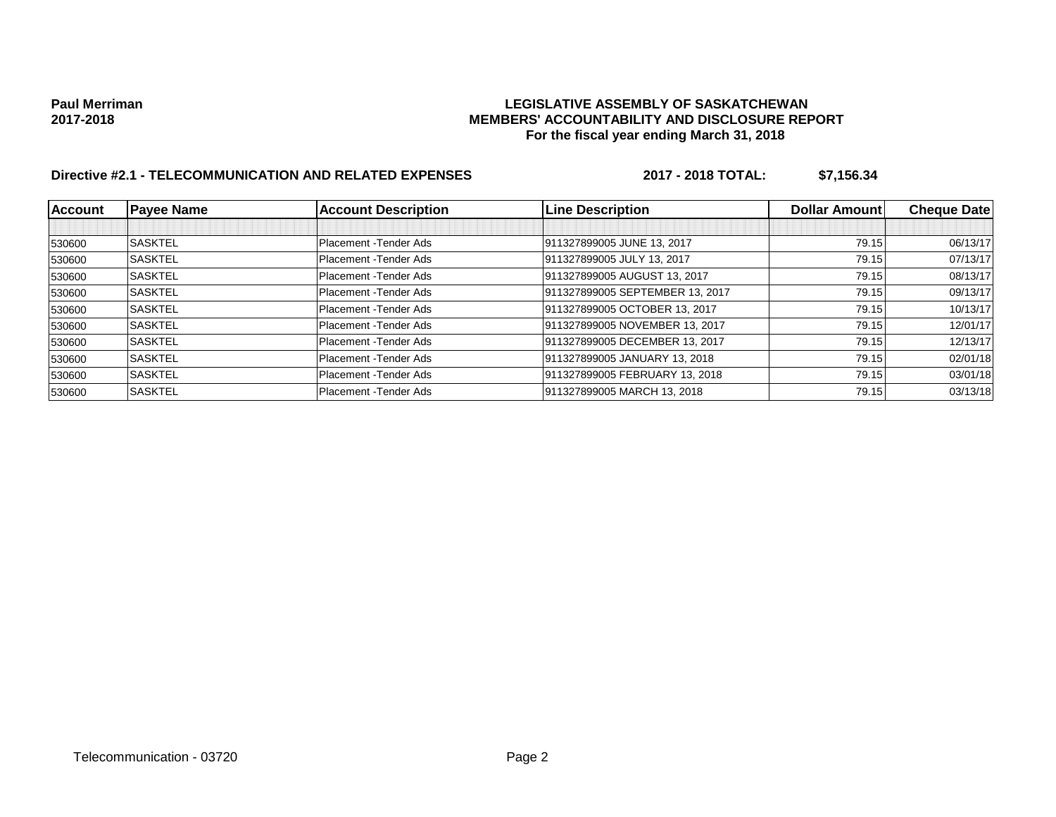## **Paul Merriman LEGISLATIVE ASSEMBLY OF SASKATCHEWAN 2017-2018 MEMBERS' ACCOUNTABILITY AND DISCLOSURE REPORT For the fiscal year ending March 31, 2018**

# **Directive #2.1 - TELECOMMUNICATION AND RELATED EXPENSES 2017 - 2018 TOTAL: \$7,156.34**

| <b>Account</b> | <b>Payee Name</b> | <b>Account Description</b> | <b>Line Description</b>         | Dollar Amount | <b>Cheque Date</b> |
|----------------|-------------------|----------------------------|---------------------------------|---------------|--------------------|
|                |                   |                            |                                 |               |                    |
| 530600         | <b>SASKTEL</b>    | Placement - Tender Ads     | 911327899005 JUNE 13, 2017      | 79.15         | 06/13/17           |
| 530600         | <b>SASKTEL</b>    | Placement - Tender Ads     | 911327899005 JULY 13, 2017      | 79.15         | 07/13/17           |
| 530600         | <b>SASKTEL</b>    | Placement - Tender Ads     | 911327899005 AUGUST 13, 2017    | 79.15         | 08/13/17           |
| 530600         | <b>SASKTEL</b>    | Placement - Tender Ads     | 911327899005 SEPTEMBER 13, 2017 | 79.15         | 09/13/17           |
| 530600         | <b>SASKTEL</b>    | Placement - Tender Ads     | 911327899005 OCTOBER 13, 2017   | 79.15         | 10/13/17           |
| 530600         | <b>SASKTEL</b>    | Placement - Tender Ads     | 911327899005 NOVEMBER 13, 2017  | 79.15         | 12/01/17           |
| 530600         | <b>SASKTEL</b>    | Placement - Tender Ads     | 911327899005 DECEMBER 13, 2017  | 79.15         | 12/13/17           |
| 530600         | <b>SASKTEL</b>    | Placement - Tender Ads     | 911327899005 JANUARY 13, 2018   | 79.15         | 02/01/18           |
| 530600         | <b>SASKTEL</b>    | Placement - Tender Ads     | 911327899005 FEBRUARY 13, 2018  | 79.15         | 03/01/18           |
| 530600         | <b>SASKTEL</b>    | Placement - Tender Ads     | 911327899005 MARCH 13, 2018     | 79.15         | 03/13/18           |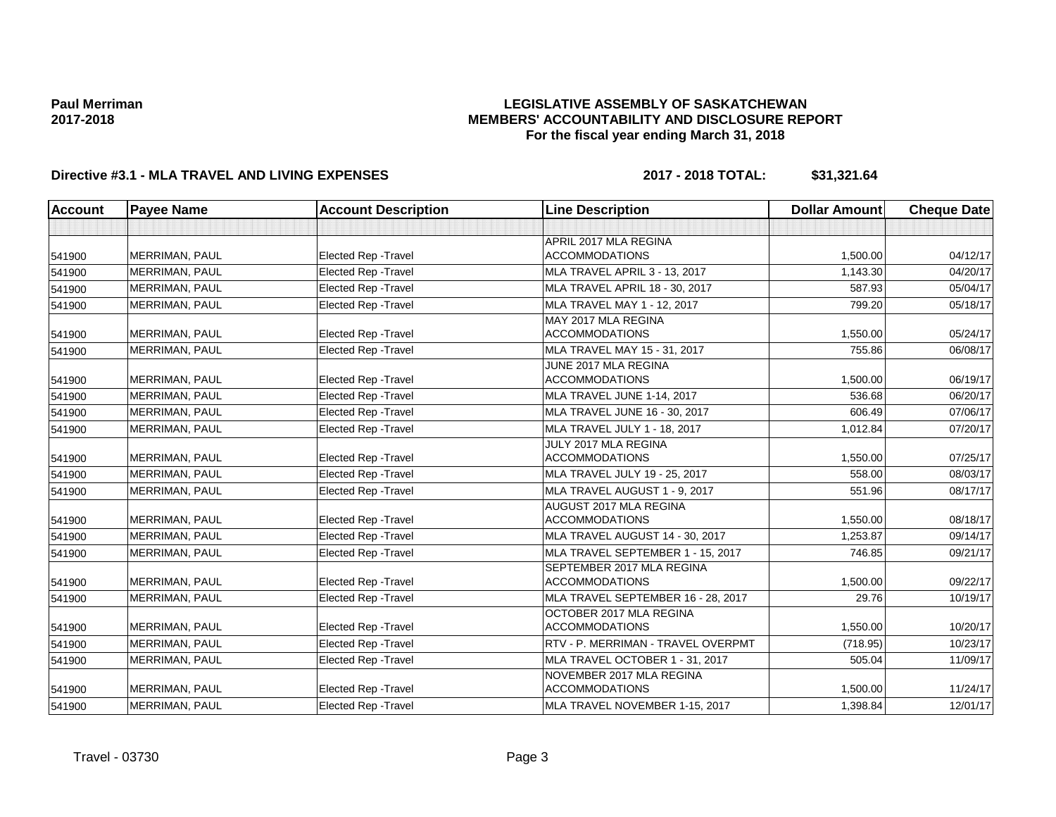## **LEGISLATIVE ASSEMBLY OF SASKATCHEWAN MEMBERS' ACCOUNTABILITY AND DISCLOSURE REPORT For the fiscal year ending March 31, 2018**

## **Directive #3.1 - MLA TRAVEL AND LIVING EXPENSES 2017 - 2018 TOTAL: \$31,321.64**

| <b>Account</b> | <b>Payee Name</b>     | <b>Account Description</b>  | <b>Line Description</b>              | <b>Dollar Amount</b> | <b>Cheque Date</b> |
|----------------|-----------------------|-----------------------------|--------------------------------------|----------------------|--------------------|
|                |                       |                             |                                      |                      |                    |
|                |                       |                             | APRIL 2017 MLA REGINA                |                      |                    |
| 541900         | <b>MERRIMAN, PAUL</b> | Elected Rep - Travel        | <b>ACCOMMODATIONS</b>                | 1,500.00             | 04/12/17           |
| 541900         | MERRIMAN, PAUL        | <b>Elected Rep - Travel</b> | <b>MLA TRAVEL APRIL 3 - 13, 2017</b> | 1.143.30             | 04/20/17           |
| 541900         | MERRIMAN, PAUL        | <b>Elected Rep - Travel</b> | MLA TRAVEL APRIL 18 - 30, 2017       | 587.93               | 05/04/17           |
| 541900         | MERRIMAN, PAUL        | <b>Elected Rep - Travel</b> | MLA TRAVEL MAY 1 - 12, 2017          | 799.20               | 05/18/17           |
|                |                       |                             | MAY 2017 MLA REGINA                  |                      |                    |
| 541900         | MERRIMAN, PAUL        | <b>Elected Rep - Travel</b> | <b>ACCOMMODATIONS</b>                | 1,550.00             | 05/24/17           |
| 541900         | <b>MERRIMAN, PAUL</b> | <b>Elected Rep - Travel</b> | MLA TRAVEL MAY 15 - 31, 2017         | 755.86               | 06/08/17           |
|                |                       |                             | JUNE 2017 MLA REGINA                 |                      |                    |
| 541900         | <b>MERRIMAN, PAUL</b> | <b>Elected Rep - Travel</b> | <b>ACCOMMODATIONS</b>                | 1.500.00             | 06/19/17           |
| 541900         | MERRIMAN, PAUL        | <b>Elected Rep - Travel</b> | MLA TRAVEL JUNE 1-14, 2017           | 536.68               | 06/20/17           |
| 541900         | MERRIMAN, PAUL        | <b>Elected Rep - Travel</b> | MLA TRAVEL JUNE 16 - 30, 2017        | 606.49               | 07/06/17           |
| 541900         | <b>MERRIMAN, PAUL</b> | Elected Rep - Travel        | MLA TRAVEL JULY 1 - 18, 2017         | 1.012.84             | 07/20/17           |
|                |                       |                             | JULY 2017 MLA REGINA                 |                      |                    |
| 541900         | <b>MERRIMAN, PAUL</b> | <b>Elected Rep - Travel</b> | <b>ACCOMMODATIONS</b>                | 1,550.00             | 07/25/17           |
| 541900         | MERRIMAN, PAUL        | <b>Elected Rep - Travel</b> | MLA TRAVEL JULY 19 - 25, 2017        | 558.00               | 08/03/17           |
| 541900         | MERRIMAN, PAUL        | Elected Rep - Travel        | MLA TRAVEL AUGUST 1 - 9, 2017        | 551.96               | 08/17/17           |
|                |                       |                             | AUGUST 2017 MLA REGINA               |                      |                    |
| 541900         | <b>MERRIMAN, PAUL</b> | Elected Rep - Travel        | <b>ACCOMMODATIONS</b>                | 1.550.00             | 08/18/17           |
| 541900         | <b>MERRIMAN, PAUL</b> | <b>Elected Rep - Travel</b> | MLA TRAVEL AUGUST 14 - 30, 2017      | 1.253.87             | 09/14/17           |
| 541900         | MERRIMAN, PAUL        | <b>Elected Rep - Travel</b> | MLA TRAVEL SEPTEMBER 1 - 15, 2017    | 746.85               | 09/21/17           |
|                |                       |                             | SEPTEMBER 2017 MLA REGINA            |                      |                    |
| 541900         | <b>MERRIMAN, PAUL</b> | <b>Elected Rep - Travel</b> | <b>ACCOMMODATIONS</b>                | 1,500.00             | 09/22/17           |
| 541900         | MERRIMAN, PAUL        | <b>Elected Rep - Travel</b> | MLA TRAVEL SEPTEMBER 16 - 28, 2017   | 29.76                | 10/19/17           |
|                |                       |                             | OCTOBER 2017 MLA REGINA              |                      |                    |
| 541900         | <b>MERRIMAN, PAUL</b> | <b>Elected Rep - Travel</b> | <b>ACCOMMODATIONS</b>                | 1.550.00             | 10/20/17           |
| 541900         | MERRIMAN, PAUL        | <b>Elected Rep - Travel</b> | RTV - P. MERRIMAN - TRAVEL OVERPMT   | (718.95)             | 10/23/17           |
| 541900         | MERRIMAN, PAUL        | <b>Elected Rep - Travel</b> | MLA TRAVEL OCTOBER 1 - 31, 2017      | 505.04               | 11/09/17           |
|                |                       |                             | NOVEMBER 2017 MLA REGINA             |                      |                    |
| 541900         | <b>MERRIMAN, PAUL</b> | <b>Elected Rep - Travel</b> | <b>ACCOMMODATIONS</b>                | 1,500.00             | 11/24/17           |
| 541900         | <b>MERRIMAN, PAUL</b> | Elected Rep - Travel        | MLA TRAVEL NOVEMBER 1-15, 2017       | 1,398.84             | 12/01/17           |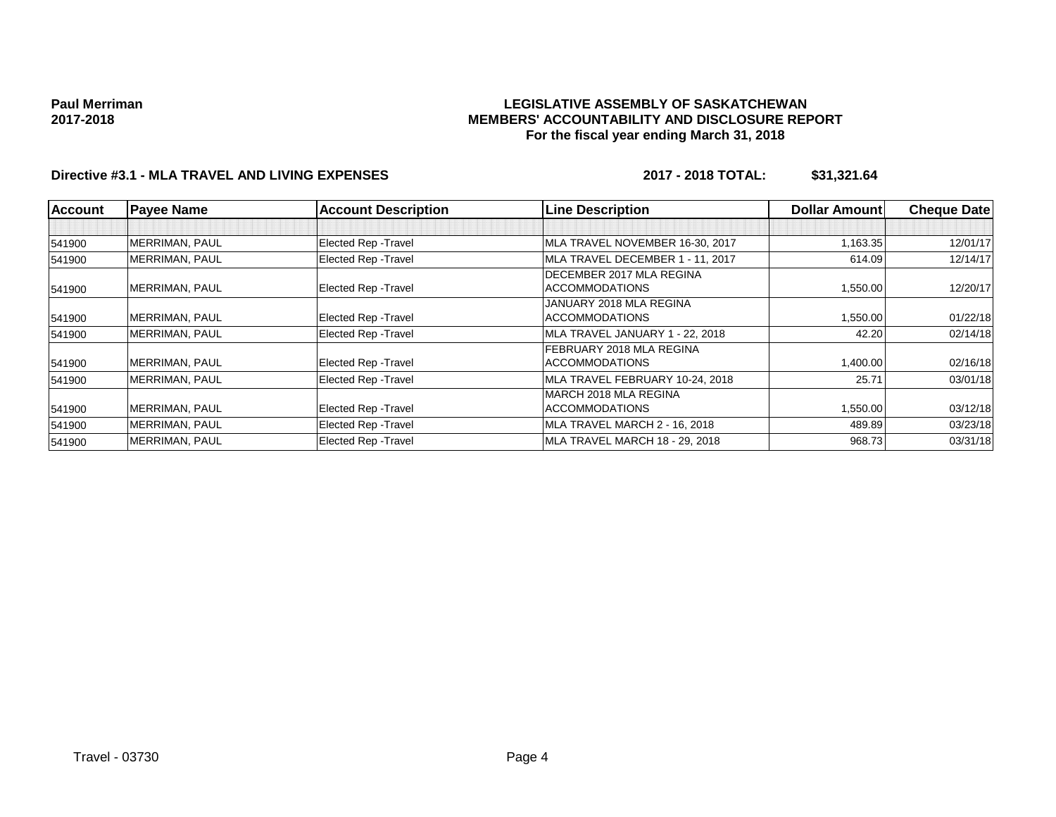## **LEGISLATIVE ASSEMBLY OF SASKATCHEWAN MEMBERS' ACCOUNTABILITY AND DISCLOSURE REPORT For the fiscal year ending March 31, 2018**

## **Directive #3.1 - MLA TRAVEL AND LIVING EXPENSES 2017 - 2018 TOTAL: \$31,321.64**

| <b>Account</b> | <b>Payee Name</b>     | <b>Account Description</b>  | <b>Line Description</b>          | <b>Dollar Amount</b> | <b>Cheque Date</b> |
|----------------|-----------------------|-----------------------------|----------------------------------|----------------------|--------------------|
|                |                       |                             |                                  |                      |                    |
| 541900         | <b>MERRIMAN, PAUL</b> | Elected Rep - Travel        | MLA TRAVEL NOVEMBER 16-30, 2017  | 1,163.35             | 12/01/17           |
| 541900         | <b>MERRIMAN, PAUL</b> | Elected Rep - Travel        | MLA TRAVEL DECEMBER 1 - 11, 2017 | 614.09               | 12/14/17           |
|                |                       |                             | DECEMBER 2017 MLA REGINA         |                      |                    |
| 541900         | <b>MERRIMAN, PAUL</b> | Elected Rep - Travel        | <b>ACCOMMODATIONS</b>            | 1,550.00             | 12/20/17           |
|                |                       |                             | JANUARY 2018 MLA REGINA          |                      |                    |
| 541900         | <b>MERRIMAN, PAUL</b> | Elected Rep - Travel        | <b>ACCOMMODATIONS</b>            | 1,550.00             | 01/22/18           |
| 541900         | <b>MERRIMAN, PAUL</b> | <b>Elected Rep - Travel</b> | MLA TRAVEL JANUARY 1 - 22, 2018  | 42.20                | 02/14/18           |
|                |                       |                             | FEBRUARY 2018 MLA REGINA         |                      |                    |
| 541900         | <b>MERRIMAN, PAUL</b> | Elected Rep - Travel        | <b>ACCOMMODATIONS</b>            | 1,400.00             | 02/16/18           |
| 541900         | <b>MERRIMAN, PAUL</b> | <b>Elected Rep - Travel</b> | MLA TRAVEL FEBRUARY 10-24, 2018  | 25.71                | 03/01/18           |
|                |                       |                             | IMARCH 2018 MLA REGINA           |                      |                    |
| 541900         | MERRIMAN, PAUL        | Elected Rep - Travel        | <b>ACCOMMODATIONS</b>            | 1,550.00             | 03/12/18           |
| 541900         | <b>MERRIMAN, PAUL</b> | Elected Rep - Travel        | MLA TRAVEL MARCH 2 - 16, 2018    | 489.89               | 03/23/18           |
| 541900         | <b>MERRIMAN, PAUL</b> | Elected Rep - Travel        | MLA TRAVEL MARCH 18 - 29, 2018   | 968.73               | 03/31/18           |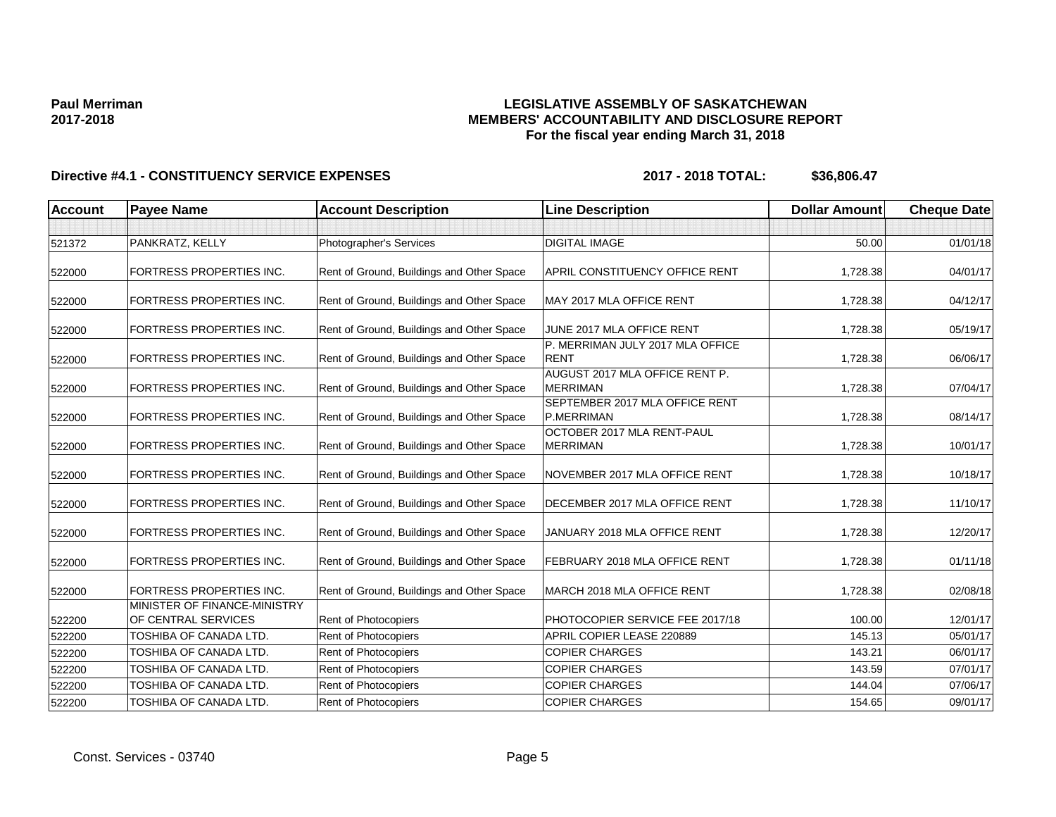## **LEGISLATIVE ASSEMBLY OF SASKATCHEWAN MEMBERS' ACCOUNTABILITY AND DISCLOSURE REPORT For the fiscal year ending March 31, 2018**

| <b>Account</b> | <b>Payee Name</b>                                   | <b>Account Description</b>                | <b>Line Description</b>                           | <b>Dollar Amount</b> | <b>Cheque Date</b> |
|----------------|-----------------------------------------------------|-------------------------------------------|---------------------------------------------------|----------------------|--------------------|
|                |                                                     |                                           |                                                   |                      |                    |
| 521372         | PANKRATZ, KELLY                                     | Photographer's Services                   | <b>DIGITAL IMAGE</b>                              | 50.00                | 01/01/18           |
| 522000         | <b>FORTRESS PROPERTIES INC.</b>                     | Rent of Ground, Buildings and Other Space | APRIL CONSTITUENCY OFFICE RENT                    | 1,728.38             | 04/01/17           |
| 522000         | <b>FORTRESS PROPERTIES INC.</b>                     | Rent of Ground, Buildings and Other Space | MAY 2017 MLA OFFICE RENT                          | 1,728.38             | 04/12/17           |
| 522000         | <b>FORTRESS PROPERTIES INC.</b>                     | Rent of Ground, Buildings and Other Space | JUNE 2017 MLA OFFICE RENT                         | 1,728.38             | 05/19/17           |
| 522000         | <b>FORTRESS PROPERTIES INC.</b>                     | Rent of Ground, Buildings and Other Space | P. MERRIMAN JULY 2017 MLA OFFICE<br>RENT          | 1,728.38             | 06/06/17           |
| 522000         | <b>FORTRESS PROPERTIES INC.</b>                     | Rent of Ground, Buildings and Other Space | AUGUST 2017 MLA OFFICE RENT P.<br><b>MERRIMAN</b> | 1,728.38             | 07/04/17           |
| 522000         | <b>FORTRESS PROPERTIES INC.</b>                     | Rent of Ground, Buildings and Other Space | SEPTEMBER 2017 MLA OFFICE RENT<br>P.MERRIMAN      | 1,728.38             | 08/14/17           |
| 522000         | FORTRESS PROPERTIES INC.                            | Rent of Ground, Buildings and Other Space | OCTOBER 2017 MLA RENT-PAUL<br><b>MERRIMAN</b>     | 1,728.38             | 10/01/17           |
| 522000         | <b>FORTRESS PROPERTIES INC.</b>                     | Rent of Ground, Buildings and Other Space | NOVEMBER 2017 MLA OFFICE RENT                     | 1,728.38             | 10/18/17           |
| 522000         | FORTRESS PROPERTIES INC.                            | Rent of Ground, Buildings and Other Space | DECEMBER 2017 MLA OFFICE RENT                     | 1,728.38             | 11/10/17           |
| 522000         | <b>FORTRESS PROPERTIES INC.</b>                     | Rent of Ground, Buildings and Other Space | JANUARY 2018 MLA OFFICE RENT                      | 1,728.38             | 12/20/17           |
| 522000         | <b>FORTRESS PROPERTIES INC.</b>                     | Rent of Ground, Buildings and Other Space | FEBRUARY 2018 MLA OFFICE RENT                     | 1,728.38             | 01/11/18           |
| 522000         | <b>FORTRESS PROPERTIES INC.</b>                     | Rent of Ground, Buildings and Other Space | MARCH 2018 MLA OFFICE RENT                        | 1,728.38             | 02/08/18           |
| 522200         | MINISTER OF FINANCE-MINISTRY<br>OF CENTRAL SERVICES | <b>Rent of Photocopiers</b>               | PHOTOCOPIER SERVICE FEE 2017/18                   | 100.00               | 12/01/17           |
| 522200         | TOSHIBA OF CANADA LTD.                              | Rent of Photocopiers                      | APRIL COPIER LEASE 220889                         | 145.13               | 05/01/17           |
| 522200         | TOSHIBA OF CANADA LTD.                              | Rent of Photocopiers                      | <b>COPIER CHARGES</b>                             | 143.21               | 06/01/17           |
| 522200         | TOSHIBA OF CANADA LTD.                              | Rent of Photocopiers                      | <b>COPIER CHARGES</b>                             | 143.59               | 07/01/17           |
| 522200         | TOSHIBA OF CANADA LTD.                              | <b>Rent of Photocopiers</b>               | <b>COPIER CHARGES</b>                             | 144.04               | 07/06/17           |
| 522200         | TOSHIBA OF CANADA LTD.                              | Rent of Photocopiers                      | <b>COPIER CHARGES</b>                             | 154.65               | 09/01/17           |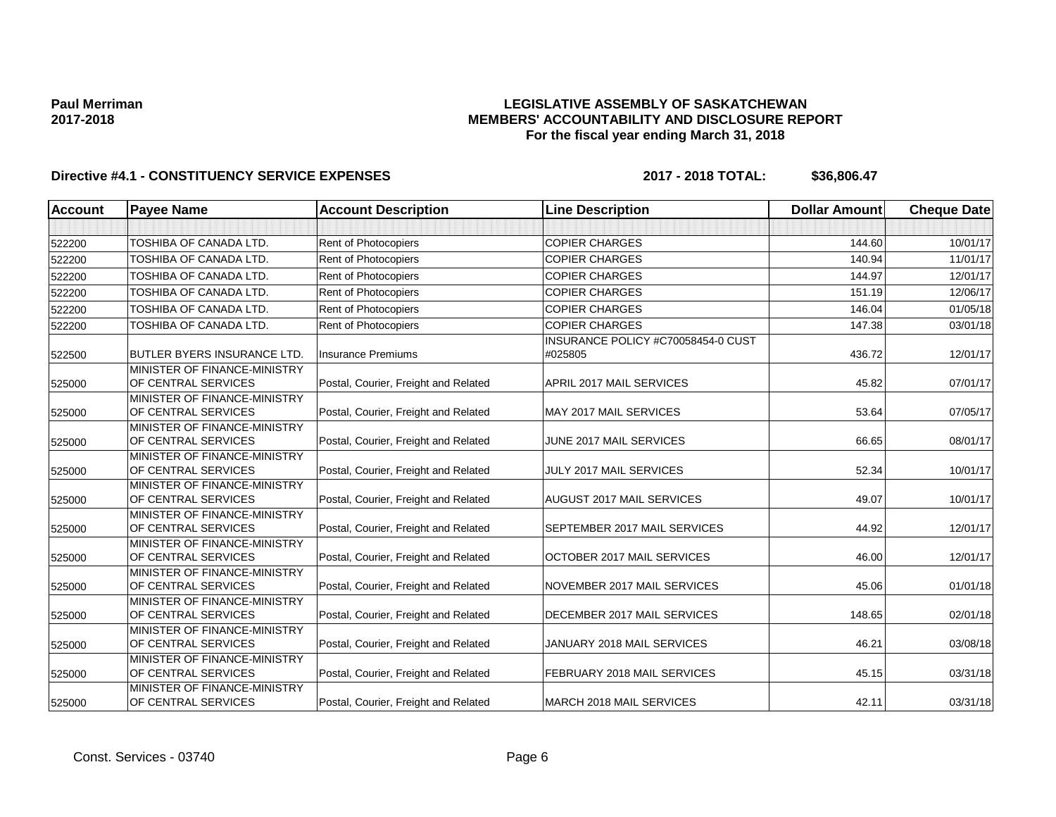## **LEGISLATIVE ASSEMBLY OF SASKATCHEWAN MEMBERS' ACCOUNTABILITY AND DISCLOSURE REPORT For the fiscal year ending March 31, 2018**

| <b>Account</b> | <b>Payee Name</b>                                   | <b>Account Description</b>           | <b>Line Description</b>                       | <b>Dollar Amount</b> | <b>Cheque Date</b> |
|----------------|-----------------------------------------------------|--------------------------------------|-----------------------------------------------|----------------------|--------------------|
|                |                                                     |                                      |                                               |                      |                    |
| 522200         | TOSHIBA OF CANADA LTD.                              | Rent of Photocopiers                 | <b>COPIER CHARGES</b>                         | 144.60               | 10/01/17           |
| 522200         | TOSHIBA OF CANADA LTD.                              | Rent of Photocopiers                 | <b>COPIER CHARGES</b>                         | 140.94               | 11/01/17           |
| 522200         | TOSHIBA OF CANADA LTD.                              | Rent of Photocopiers                 | <b>COPIER CHARGES</b>                         | 144.97               | 12/01/17           |
| 522200         | TOSHIBA OF CANADA LTD.                              | Rent of Photocopiers                 | <b>COPIER CHARGES</b>                         | 151.19               | 12/06/17           |
| 522200         | TOSHIBA OF CANADA LTD.                              | Rent of Photocopiers                 | <b>COPIER CHARGES</b>                         | 146.04               | 01/05/18           |
| 522200         | TOSHIBA OF CANADA LTD.                              | Rent of Photocopiers                 | <b>COPIER CHARGES</b>                         | 147.38               | 03/01/18           |
| 522500         | <b>BUTLER BYERS INSURANCE LTD.</b>                  | <b>Insurance Premiums</b>            | INSURANCE POLICY #C70058454-0 CUST<br>#025805 | 436.72               | 12/01/17           |
| 525000         | MINISTER OF FINANCE-MINISTRY<br>OF CENTRAL SERVICES | Postal, Courier, Freight and Related | APRIL 2017 MAIL SERVICES                      | 45.82                | 07/01/17           |
| 525000         | MINISTER OF FINANCE-MINISTRY<br>OF CENTRAL SERVICES | Postal, Courier, Freight and Related | MAY 2017 MAIL SERVICES                        | 53.64                | 07/05/17           |
| 525000         | MINISTER OF FINANCE-MINISTRY<br>OF CENTRAL SERVICES | Postal, Courier, Freight and Related | JUNE 2017 MAIL SERVICES                       | 66.65                | 08/01/17           |
| 525000         | MINISTER OF FINANCE-MINISTRY<br>OF CENTRAL SERVICES | Postal, Courier, Freight and Related | JULY 2017 MAIL SERVICES                       | 52.34                | 10/01/17           |
| 525000         | MINISTER OF FINANCE-MINISTRY<br>OF CENTRAL SERVICES | Postal, Courier, Freight and Related | AUGUST 2017 MAIL SERVICES                     | 49.07                | 10/01/17           |
| 525000         | MINISTER OF FINANCE-MINISTRY<br>OF CENTRAL SERVICES | Postal, Courier, Freight and Related | SEPTEMBER 2017 MAIL SERVICES                  | 44.92                | 12/01/17           |
| 525000         | MINISTER OF FINANCE-MINISTRY<br>OF CENTRAL SERVICES | Postal, Courier, Freight and Related | OCTOBER 2017 MAIL SERVICES                    | 46.00                | 12/01/17           |
| 525000         | MINISTER OF FINANCE-MINISTRY<br>OF CENTRAL SERVICES | Postal, Courier, Freight and Related | NOVEMBER 2017 MAIL SERVICES                   | 45.06                | 01/01/18           |
| 525000         | MINISTER OF FINANCE-MINISTRY<br>OF CENTRAL SERVICES | Postal, Courier, Freight and Related | DECEMBER 2017 MAIL SERVICES                   | 148.65               | 02/01/18           |
| 525000         | MINISTER OF FINANCE-MINISTRY<br>OF CENTRAL SERVICES | Postal, Courier, Freight and Related | JANUARY 2018 MAIL SERVICES                    | 46.21                | 03/08/18           |
| 525000         | MINISTER OF FINANCE-MINISTRY<br>OF CENTRAL SERVICES | Postal, Courier, Freight and Related | FEBRUARY 2018 MAIL SERVICES                   | 45.15                | 03/31/18           |
| 525000         | MINISTER OF FINANCE-MINISTRY<br>OF CENTRAL SERVICES | Postal, Courier, Freight and Related | MARCH 2018 MAIL SERVICES                      | 42.11                | 03/31/18           |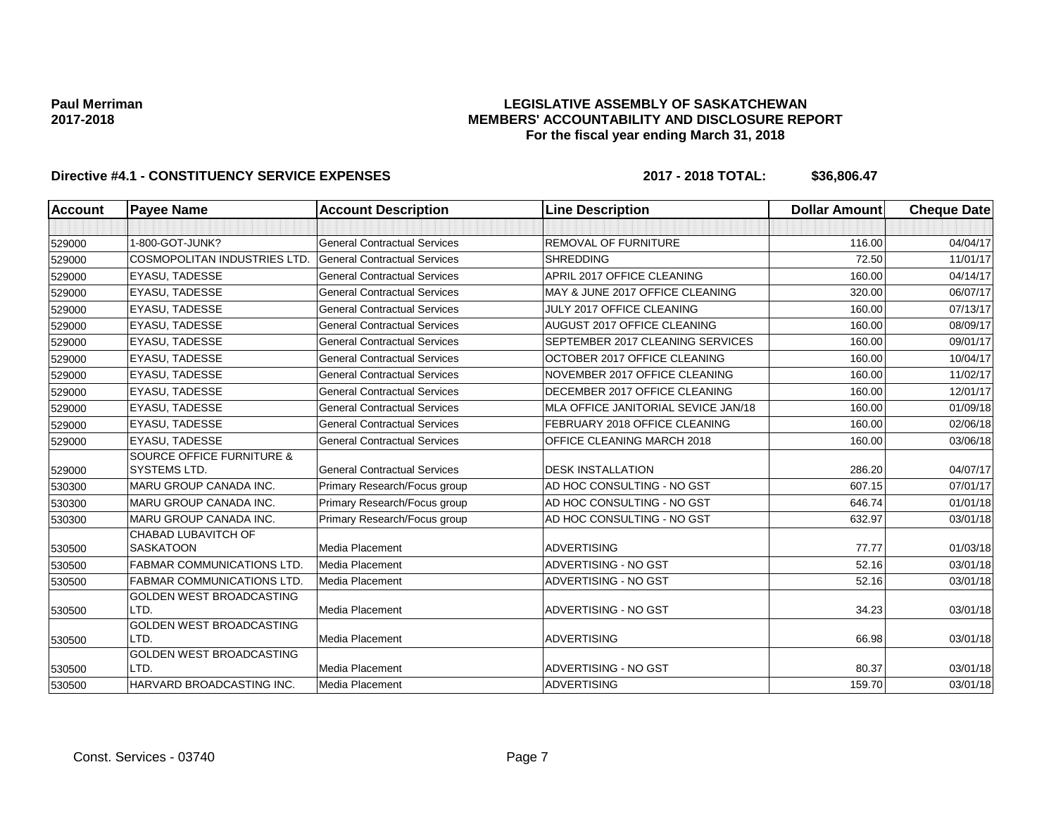## **LEGISLATIVE ASSEMBLY OF SASKATCHEWAN MEMBERS' ACCOUNTABILITY AND DISCLOSURE REPORT For the fiscal year ending March 31, 2018**

| <b>Account</b> | <b>Payee Name</b>                       | <b>Account Description</b>          | <b>Line Description</b>             | <b>Dollar Amount</b> | <b>Cheque Date</b> |
|----------------|-----------------------------------------|-------------------------------------|-------------------------------------|----------------------|--------------------|
|                |                                         |                                     |                                     |                      |                    |
| 529000         | 1-800-GOT-JUNK?                         | <b>General Contractual Services</b> | <b>REMOVAL OF FURNITURE</b>         | 116.00               | 04/04/17           |
| 529000         | <b>COSMOPOLITAN INDUSTRIES LTD.</b>     | <b>General Contractual Services</b> | <b>SHREDDING</b>                    | 72.50                | 11/01/17           |
| 529000         | EYASU, TADESSE                          | <b>General Contractual Services</b> | APRIL 2017 OFFICE CLEANING          | 160.00               | 04/14/17           |
| 529000         | <b>EYASU, TADESSE</b>                   | <b>General Contractual Services</b> | MAY & JUNE 2017 OFFICE CLEANING     | 320.00               | 06/07/17           |
| 529000         | <b>EYASU. TADESSE</b>                   | <b>General Contractual Services</b> | JULY 2017 OFFICE CLEANING           | 160.00               | 07/13/17           |
| 529000         | EYASU, TADESSE                          | <b>General Contractual Services</b> | AUGUST 2017 OFFICE CLEANING         | 160.00               | 08/09/17           |
| 529000         | <b>EYASU, TADESSE</b>                   | <b>General Contractual Services</b> | SEPTEMBER 2017 CLEANING SERVICES    | 160.00               | 09/01/17           |
| 529000         | <b>EYASU. TADESSE</b>                   | <b>General Contractual Services</b> | OCTOBER 2017 OFFICE CLEANING        | 160.00               | 10/04/17           |
| 529000         | EYASU, TADESSE                          | <b>General Contractual Services</b> | NOVEMBER 2017 OFFICE CLEANING       | 160.00               | 11/02/17           |
| 529000         | EYASU, TADESSE                          | <b>General Contractual Services</b> | DECEMBER 2017 OFFICE CLEANING       | 160.00               | 12/01/17           |
| 529000         | <b>EYASU, TADESSE</b>                   | <b>General Contractual Services</b> | MLA OFFICE JANITORIAL SEVICE JAN/18 | 160.00               | 01/09/18           |
| 529000         | EYASU, TADESSE                          | <b>General Contractual Services</b> | FEBRUARY 2018 OFFICE CLEANING       | 160.00               | 02/06/18           |
| 529000         | <b>EYASU. TADESSE</b>                   | <b>General Contractual Services</b> | OFFICE CLEANING MARCH 2018          | 160.00               | 03/06/18           |
|                | <b>SOURCE OFFICE FURNITURE &amp;</b>    |                                     |                                     |                      |                    |
| 529000         | SYSTEMS LTD.                            | <b>General Contractual Services</b> | <b>DESK INSTALLATION</b>            | 286.20               | 04/07/17           |
| 530300         | <b>MARU GROUP CANADA INC.</b>           | Primary Research/Focus group        | AD HOC CONSULTING - NO GST          | 607.15               | 07/01/17           |
| 530300         | MARU GROUP CANADA INC.                  | Primary Research/Focus group        | AD HOC CONSULTING - NO GST          | 646.74               | 01/01/18           |
| 530300         | MARU GROUP CANADA INC.                  | Primary Research/Focus group        | AD HOC CONSULTING - NO GST          | 632.97               | 03/01/18           |
| 530500         | CHABAD LUBAVITCH OF<br><b>SASKATOON</b> | Media Placement                     | <b>ADVERTISING</b>                  | 77.77                | 01/03/18           |
| 530500         | <b>FABMAR COMMUNICATIONS LTD</b>        | <b>Media Placement</b>              | ADVERTISING - NO GST                | 52.16                | 03/01/18           |
| 530500         | <b>FABMAR COMMUNICATIONS LTD</b>        | Media Placement                     | ADVERTISING - NO GST                | 52.16                | 03/01/18           |
|                | GOLDEN WEST BROADCASTING                |                                     |                                     |                      |                    |
| 530500         | LTD.                                    | <b>Media Placement</b>              | ADVERTISING - NO GST                | 34.23                | 03/01/18           |
|                | <b>GOLDEN WEST BROADCASTING</b>         |                                     |                                     |                      |                    |
| 530500         | LTD.                                    | Media Placement                     | <b>ADVERTISING</b>                  | 66.98                | 03/01/18           |
|                | <b>GOLDEN WEST BROADCASTING</b>         |                                     |                                     |                      |                    |
| 530500         | LTD.                                    | <b>Media Placement</b>              | <b>ADVERTISING - NO GST</b>         | 80.37                | 03/01/18           |
| 530500         | HARVARD BROADCASTING INC.               | Media Placement                     | <b>ADVERTISING</b>                  | 159.70               | 03/01/18           |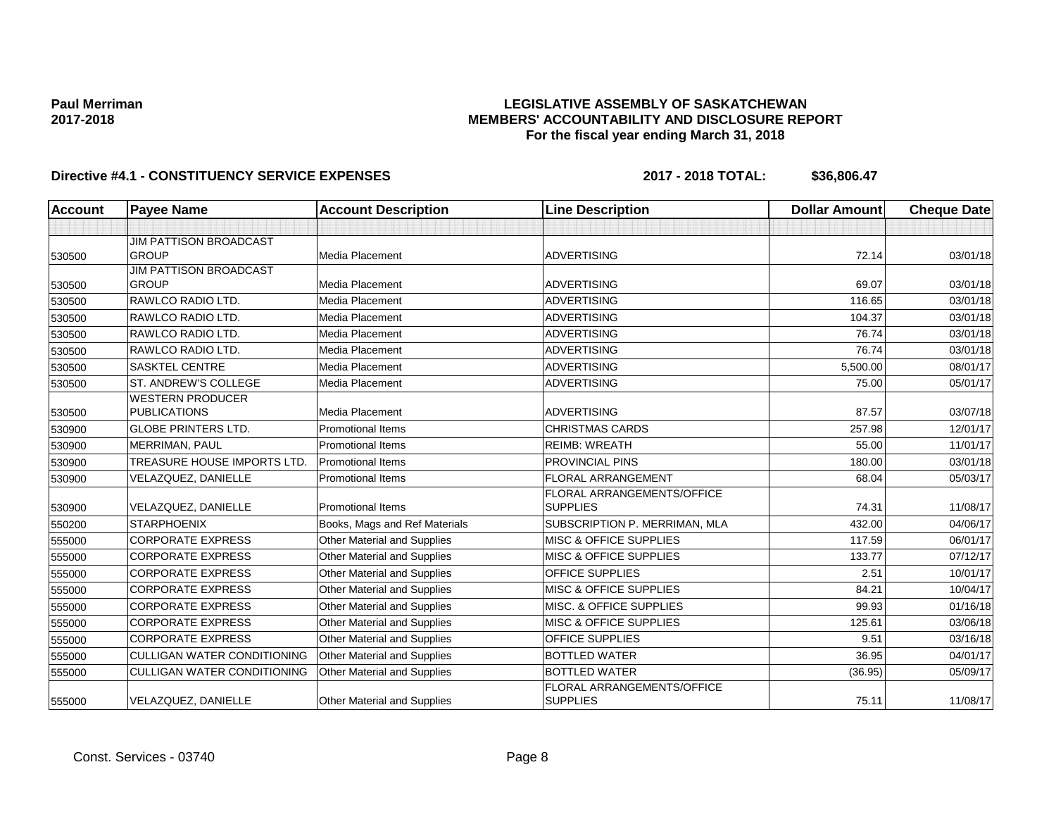## **LEGISLATIVE ASSEMBLY OF SASKATCHEWAN MEMBERS' ACCOUNTABILITY AND DISCLOSURE REPORT For the fiscal year ending March 31, 2018**

| <b>Account</b> | <b>Payee Name</b>                  | <b>Account Description</b>    | <b>Line Description</b>           | <b>Dollar Amount</b> | <b>Cheque Date</b> |
|----------------|------------------------------------|-------------------------------|-----------------------------------|----------------------|--------------------|
|                |                                    |                               |                                   |                      |                    |
|                | <b>JIM PATTISON BROADCAST</b>      |                               |                                   |                      |                    |
| 530500         | <b>GROUP</b>                       | Media Placement               | <b>ADVERTISING</b>                | 72.14                | 03/01/18           |
|                | JIM PATTISON BROADCAST             |                               |                                   |                      |                    |
| 530500         | <b>GROUP</b>                       | <b>Media Placement</b>        | <b>ADVERTISING</b>                | 69.07                | 03/01/18           |
| 530500         | RAWLCO RADIO LTD.                  | Media Placement               | <b>ADVERTISING</b>                | 116.65               | 03/01/18           |
| 530500         | RAWLCO RADIO LTD.                  | Media Placement               | <b>ADVERTISING</b>                | 104.37               | 03/01/18           |
| 530500         | RAWLCO RADIO LTD.                  | Media Placement               | <b>ADVERTISING</b>                | 76.74                | 03/01/18           |
| 530500         | RAWLCO RADIO LTD.                  | Media Placement               | <b>ADVERTISING</b>                | 76.74                | 03/01/18           |
| 530500         | <b>SASKTEL CENTRE</b>              | Media Placement               | <b>ADVERTISING</b>                | 5,500.00             | 08/01/17           |
| 530500         | ST. ANDREW'S COLLEGE               | Media Placement               | <b>ADVERTISING</b>                | 75.00                | 05/01/17           |
|                | <b>WESTERN PRODUCER</b>            |                               |                                   |                      |                    |
| 530500         | <b>PUBLICATIONS</b>                | Media Placement               | <b>ADVERTISING</b>                | 87.57                | 03/07/18           |
| 530900         | <b>GLOBE PRINTERS LTD.</b>         | <b>Promotional Items</b>      | <b>CHRISTMAS CARDS</b>            | 257.98               | 12/01/17           |
| 530900         | <b>MERRIMAN, PAUL</b>              | <b>Promotional Items</b>      | <b>REIMB: WREATH</b>              | 55.00                | 11/01/17           |
| 530900         | TREASURE HOUSE IMPORTS LTD.        | <b>Promotional Items</b>      | <b>PROVINCIAL PINS</b>            | 180.00               | 03/01/18           |
| 530900         | VELAZQUEZ, DANIELLE                | <b>Promotional Items</b>      | <b>FLORAL ARRANGEMENT</b>         | 68.04                | 05/03/17           |
|                |                                    |                               | FLORAL ARRANGEMENTS/OFFICE        |                      |                    |
| 530900         | VELAZQUEZ, DANIELLE                | <b>Promotional Items</b>      | <b>SUPPLIES</b>                   | 74.31                | 11/08/17           |
| 550200         | <b>STARPHOENIX</b>                 | Books, Mags and Ref Materials | SUBSCRIPTION P. MERRIMAN, MLA     | 432.00               | 04/06/17           |
| 555000         | <b>CORPORATE EXPRESS</b>           | Other Material and Supplies   | <b>MISC &amp; OFFICE SUPPLIES</b> | 117.59               | 06/01/17           |
| 555000         | <b>CORPORATE EXPRESS</b>           | Other Material and Supplies   | <b>MISC &amp; OFFICE SUPPLIES</b> | 133.77               | 07/12/17           |
| 555000         | <b>CORPORATE EXPRESS</b>           | Other Material and Supplies   | <b>OFFICE SUPPLIES</b>            | 2.51                 | 10/01/17           |
| 555000         | <b>CORPORATE EXPRESS</b>           | Other Material and Supplies   | <b>MISC &amp; OFFICE SUPPLIES</b> | 84.21                | 10/04/17           |
| 555000         | <b>CORPORATE EXPRESS</b>           | Other Material and Supplies   | MISC. & OFFICE SUPPLIES           | 99.93                | 01/16/18           |
| 555000         | <b>CORPORATE EXPRESS</b>           | Other Material and Supplies   | <b>MISC &amp; OFFICE SUPPLIES</b> | 125.61               | 03/06/18           |
| 555000         | <b>CORPORATE EXPRESS</b>           | Other Material and Supplies   | OFFICE SUPPLIES                   | 9.51                 | 03/16/18           |
| 555000         | <b>CULLIGAN WATER CONDITIONING</b> | Other Material and Supplies   | <b>BOTTLED WATER</b>              | 36.95                | 04/01/17           |
| 555000         | <b>CULLIGAN WATER CONDITIONING</b> | Other Material and Supplies   | <b>BOTTLED WATER</b>              | (36.95)              | 05/09/17           |
|                |                                    |                               | <b>FLORAL ARRANGEMENTS/OFFICE</b> |                      |                    |
| 555000         | VELAZQUEZ, DANIELLE                | Other Material and Supplies   | <b>SUPPLIES</b>                   | 75.11                | 11/08/17           |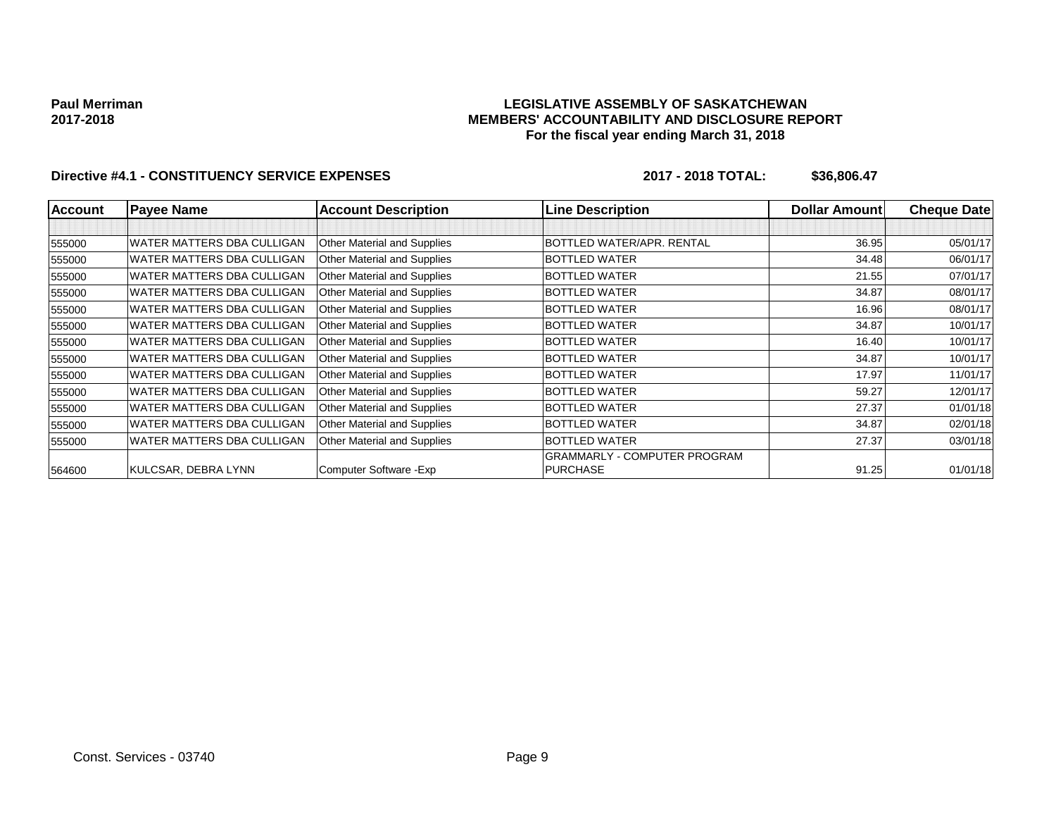### **LEGISLATIVE ASSEMBLY OF SASKATCHEWAN MEMBERS' ACCOUNTABILITY AND DISCLOSURE REPORT For the fiscal year ending March 31, 2018**

| <b>Account</b> | <b>Payee Name</b>                 | <b>Account Description</b>         | <b>Line Description</b>             | <b>Dollar Amountl</b> | <b>Cheque Datel</b> |
|----------------|-----------------------------------|------------------------------------|-------------------------------------|-----------------------|---------------------|
|                |                                   |                                    |                                     |                       |                     |
| 555000         | <b>WATER MATTERS DBA CULLIGAN</b> | Other Material and Supplies        | BOTTLED WATER/APR, RENTAL           | 36.95                 | 05/01/17            |
| 555000         | <b>WATER MATTERS DBA CULLIGAN</b> | Other Material and Supplies        | <b>BOTTLED WATER</b>                | 34.48                 | 06/01/17            |
| 555000         | WATER MATTERS DBA CULLIGAN        | Other Material and Supplies        | <b>BOTTLED WATER</b>                | 21.55                 | 07/01/17            |
| 555000         | WATER MATTERS DBA CULLIGAN        | Other Material and Supplies        | BOTTLED WATER                       | 34.87                 | 08/01/17            |
| 555000         | <b>WATER MATTERS DBA CULLIGAN</b> | Other Material and Supplies        | <b>BOTTLED WATER</b>                | 16.96                 | 08/01/17            |
| 555000         | WATER MATTERS DBA CULLIGAN        | Other Material and Supplies        | <b>BOTTLED WATER</b>                | 34.87                 | 10/01/17            |
| 555000         | WATER MATTERS DBA CULLIGAN        | Other Material and Supplies        | <b>BOTTLED WATER</b>                | 16.40                 | 10/01/17            |
| 555000         | WATER MATTERS DBA CULLIGAN        | Other Material and Supplies        | <b>BOTTLED WATER</b>                | 34.87                 | 10/01/17            |
| 555000         | <b>WATER MATTERS DBA CULLIGAN</b> | Other Material and Supplies        | <b>BOTTLED WATER</b>                | 17.97                 | 11/01/17            |
| 555000         | WATER MATTERS DBA CULLIGAN        | <b>Other Material and Supplies</b> | <b>BOTTLED WATER</b>                | 59.27                 | 12/01/17            |
| 555000         | WATER MATTERS DBA CULLIGAN        | Other Material and Supplies        | <b>BOTTLED WATER</b>                | 27.37                 | 01/01/18            |
| 555000         | <b>WATER MATTERS DBA CULLIGAN</b> | Other Material and Supplies        | <b>BOTTLED WATER</b>                | 34.87                 | 02/01/18            |
| 555000         | WATER MATTERS DBA CULLIGAN        | Other Material and Supplies        | <b>BOTTLED WATER</b>                | 27.37                 | 03/01/18            |
|                |                                   |                                    | <b>GRAMMARLY - COMPUTER PROGRAM</b> |                       |                     |
| 564600         | KULCSAR, DEBRA LYNN               | Computer Software - Exp            | PURCHASE                            | 91.25                 | 01/01/18            |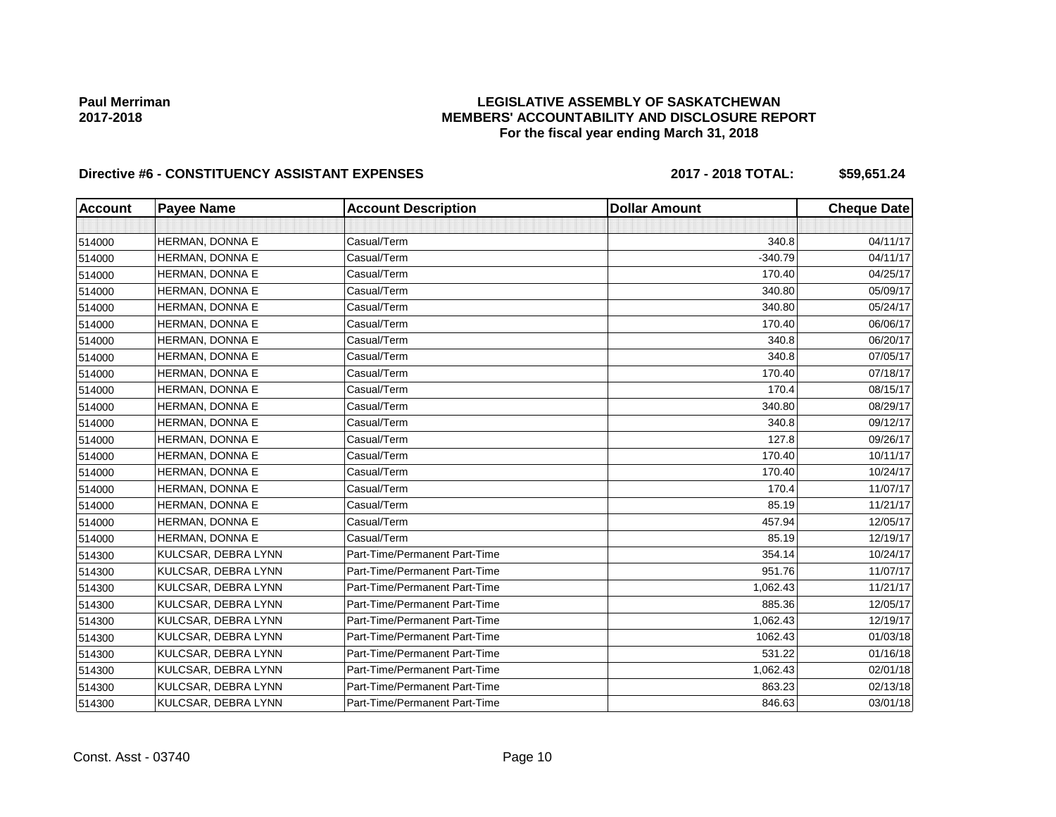## **LEGISLATIVE ASSEMBLY OF SASKATCHEWAN MEMBERS' ACCOUNTABILITY AND DISCLOSURE REPORT For the fiscal year ending March 31, 2018**

## Directive #6 - CONSTITUENCY ASSISTANT EXPENSES 2017 - 2018 TOTAL: \$59,651.24

| <b>Account</b> | <b>Payee Name</b>   | <b>Account Description</b>    | <b>Dollar Amount</b> | <b>Cheque Date</b> |
|----------------|---------------------|-------------------------------|----------------------|--------------------|
|                |                     |                               |                      |                    |
| 514000         | HERMAN, DONNA E     | Casual/Term                   | 340.8                | 04/11/17           |
| 514000         | HERMAN, DONNA E     | Casual/Term                   | $-340.79$            | 04/11/17           |
| 514000         | HERMAN, DONNA E     | Casual/Term                   | 170.40               | 04/25/17           |
| 514000         | HERMAN, DONNA E     | Casual/Term                   | 340.80               | 05/09/17           |
| 514000         | HERMAN, DONNA E     | Casual/Term                   | 340.80               | 05/24/17           |
| 514000         | HERMAN, DONNA E     | Casual/Term                   | 170.40               | 06/06/17           |
| 514000         | HERMAN, DONNA E     | Casual/Term                   | 340.8                | 06/20/17           |
| 514000         | HERMAN, DONNA E     | Casual/Term                   | 340.8                | 07/05/17           |
| 514000         | HERMAN, DONNA E     | Casual/Term                   | 170.40               | 07/18/17           |
| 514000         | HERMAN, DONNA E     | Casual/Term                   | 170.4                | 08/15/17           |
| 514000         | HERMAN, DONNA E     | Casual/Term                   | 340.80               | 08/29/17           |
| 514000         | HERMAN, DONNA E     | Casual/Term                   | 340.8                | 09/12/17           |
| 514000         | HERMAN, DONNA E     | Casual/Term                   | 127.8                | 09/26/17           |
| 514000         | HERMAN, DONNA E     | Casual/Term                   | 170.40               | 10/11/17           |
| 514000         | HERMAN, DONNA E     | Casual/Term                   | 170.40               | 10/24/17           |
| 514000         | HERMAN, DONNA E     | Casual/Term                   | 170.4                | 11/07/17           |
| 514000         | HERMAN, DONNA E     | Casual/Term                   | 85.19                | 11/21/17           |
| 514000         | HERMAN, DONNA E     | Casual/Term                   | 457.94               | 12/05/17           |
| 514000         | HERMAN, DONNA E     | Casual/Term                   | 85.19                | 12/19/17           |
| 514300         | KULCSAR, DEBRA LYNN | Part-Time/Permanent Part-Time | 354.14               | 10/24/17           |
| 514300         | KULCSAR, DEBRA LYNN | Part-Time/Permanent Part-Time | 951.76               | 11/07/17           |
| 514300         | KULCSAR, DEBRA LYNN | Part-Time/Permanent Part-Time | 1,062.43             | 11/21/17           |
| 514300         | KULCSAR, DEBRA LYNN | Part-Time/Permanent Part-Time | 885.36               | 12/05/17           |
| 514300         | KULCSAR, DEBRA LYNN | Part-Time/Permanent Part-Time | 1,062.43             | 12/19/17           |
| 514300         | KULCSAR, DEBRA LYNN | Part-Time/Permanent Part-Time | 1062.43              | 01/03/18           |
| 514300         | KULCSAR, DEBRA LYNN | Part-Time/Permanent Part-Time | 531.22               | 01/16/18           |
| 514300         | KULCSAR, DEBRA LYNN | Part-Time/Permanent Part-Time | 1,062.43             | 02/01/18           |
| 514300         | KULCSAR, DEBRA LYNN | Part-Time/Permanent Part-Time | 863.23               | 02/13/18           |
| 514300         | KULCSAR, DEBRA LYNN | Part-Time/Permanent Part-Time | 846.63               | 03/01/18           |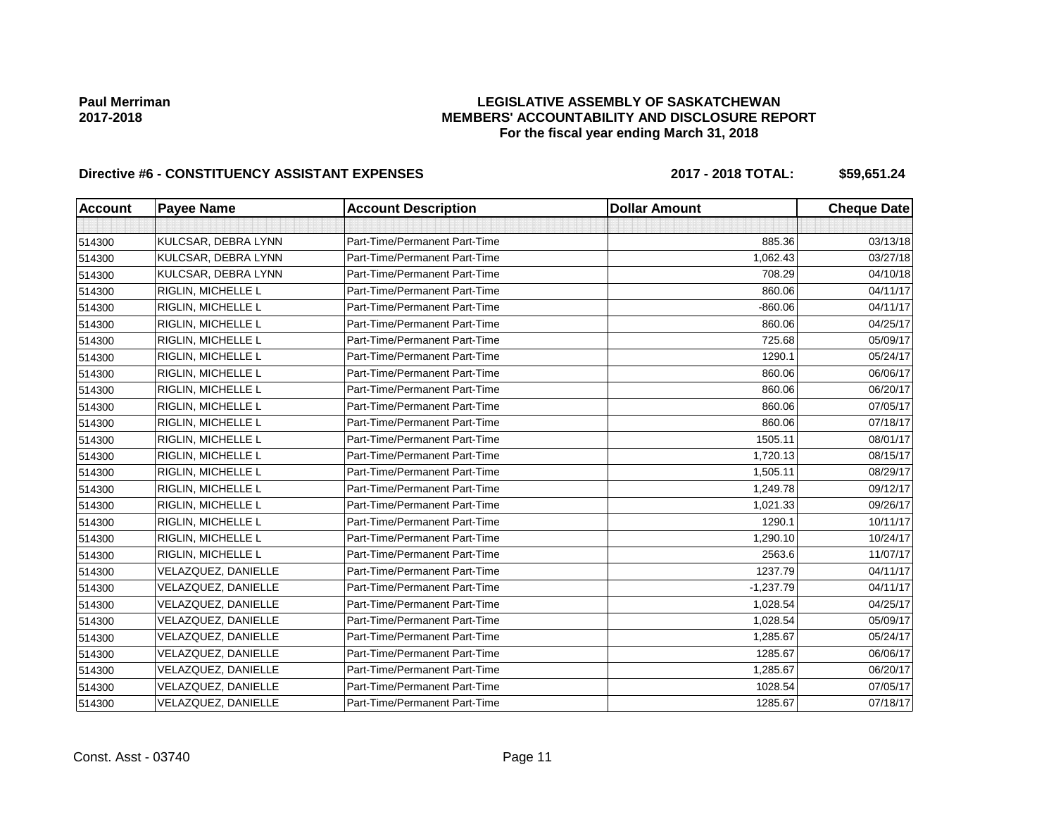## **LEGISLATIVE ASSEMBLY OF SASKATCHEWAN MEMBERS' ACCOUNTABILITY AND DISCLOSURE REPORT For the fiscal year ending March 31, 2018**

# Directive #6 - CONSTITUENCY ASSISTANT EXPENSES 2017 - 2018 TOTAL: \$59,651.24

| <b>Account</b> | <b>Payee Name</b>   | <b>Account Description</b>    | <b>Dollar Amount</b> | <b>Cheque Date</b> |
|----------------|---------------------|-------------------------------|----------------------|--------------------|
|                |                     |                               |                      |                    |
| 514300         | KULCSAR, DEBRA LYNN | Part-Time/Permanent Part-Time | 885.36               | 03/13/18           |
| 514300         | KULCSAR, DEBRA LYNN | Part-Time/Permanent Part-Time | 1,062.43             | 03/27/18           |
| 514300         | KULCSAR, DEBRA LYNN | Part-Time/Permanent Part-Time | 708.29               | 04/10/18           |
| 514300         | RIGLIN, MICHELLE L  | Part-Time/Permanent Part-Time | 860.06               | 04/11/17           |
| 514300         | RIGLIN, MICHELLE L  | Part-Time/Permanent Part-Time | $-860.06$            | 04/11/17           |
| 514300         | RIGLIN, MICHELLE L  | Part-Time/Permanent Part-Time | 860.06               | 04/25/17           |
| 514300         | RIGLIN, MICHELLE L  | Part-Time/Permanent Part-Time | 725.68               | 05/09/17           |
| 514300         | RIGLIN, MICHELLE L  | Part-Time/Permanent Part-Time | 1290.1               | 05/24/17           |
| 514300         | RIGLIN, MICHELLE L  | Part-Time/Permanent Part-Time | 860.06               | 06/06/17           |
| 514300         | RIGLIN, MICHELLE L  | Part-Time/Permanent Part-Time | 860.06               | 06/20/17           |
| 514300         | RIGLIN, MICHELLE L  | Part-Time/Permanent Part-Time | 860.06               | 07/05/17           |
| 514300         | RIGLIN, MICHELLE L  | Part-Time/Permanent Part-Time | 860.06               | 07/18/17           |
| 514300         | RIGLIN, MICHELLE L  | Part-Time/Permanent Part-Time | 1505.11              | 08/01/17           |
| 514300         | RIGLIN, MICHELLE L  | Part-Time/Permanent Part-Time | 1,720.13             | 08/15/17           |
| 514300         | RIGLIN, MICHELLE L  | Part-Time/Permanent Part-Time | 1,505.11             | 08/29/17           |
| 514300         | RIGLIN, MICHELLE L  | Part-Time/Permanent Part-Time | 1,249.78             | 09/12/17           |
| 514300         | RIGLIN, MICHELLE L  | Part-Time/Permanent Part-Time | 1,021.33             | 09/26/17           |
| 514300         | RIGLIN, MICHELLE L  | Part-Time/Permanent Part-Time | 1290.1               | 10/11/17           |
| 514300         | RIGLIN, MICHELLE L  | Part-Time/Permanent Part-Time | 1,290.10             | 10/24/17           |
| 514300         | RIGLIN, MICHELLE L  | Part-Time/Permanent Part-Time | 2563.6               | 11/07/17           |
| 514300         | VELAZQUEZ, DANIELLE | Part-Time/Permanent Part-Time | 1237.79              | 04/11/17           |
| 514300         | VELAZQUEZ, DANIELLE | Part-Time/Permanent Part-Time | $-1,237.79$          | 04/11/17           |
| 514300         | VELAZQUEZ, DANIELLE | Part-Time/Permanent Part-Time | 1,028.54             | 04/25/17           |
| 514300         | VELAZQUEZ, DANIELLE | Part-Time/Permanent Part-Time | 1,028.54             | 05/09/17           |
| 514300         | VELAZQUEZ, DANIELLE | Part-Time/Permanent Part-Time | 1,285.67             | 05/24/17           |
| 514300         | VELAZQUEZ, DANIELLE | Part-Time/Permanent Part-Time | 1285.67              | 06/06/17           |
| 514300         | VELAZQUEZ, DANIELLE | Part-Time/Permanent Part-Time | 1,285.67             | 06/20/17           |
| 514300         | VELAZQUEZ, DANIELLE | Part-Time/Permanent Part-Time | 1028.54              | 07/05/17           |
| 514300         | VELAZQUEZ, DANIELLE | Part-Time/Permanent Part-Time | 1285.67              | 07/18/17           |